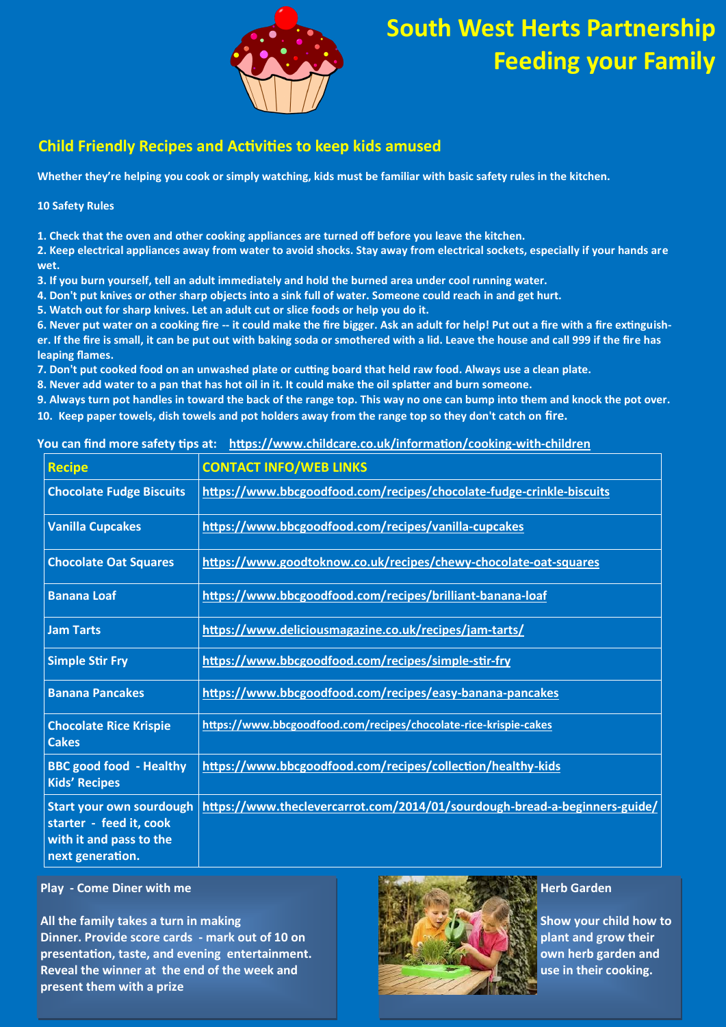

### **Child Friendly Recipes and Activities to keep kids amused**

**Whether they're helping you cook or simply watching, kids must be familiar with basic safety rules in the kitchen.**

**10 Safety Rules**

**1. Check that the oven and other cooking appliances are turned off before you leave the kitchen.**

**2. Keep electrical appliances away from water to avoid shocks. Stay away from electrical sockets, especially if your hands are wet.**

**3. If you burn yourself, tell an adult immediately and hold the burned area under cool running water.**

**4. Don't put knives or other sharp objects into a sink full of water. Someone could reach in and get hurt.**

**5. Watch out for sharp knives. Let an adult cut or slice foods or help you do it.**

**6. Never put water on a cooking fire -- it could make the fire bigger. Ask an adult for help! Put out a fire with a fire extinguisher. If the fire is small, it can be put out with baking soda or smothered with a lid. Leave the house and call 999 if the fire has leaping flames.**

**7. Don't put cooked food on an unwashed plate or cutting board that held raw food. Always use a clean plate.**

**8. Never add water to a pan that has hot oil in it. It could make the oil splatter and burn someone.**

**9. Always turn pot handles in toward the back of the range top. This way no one can bump into them and knock the pot over.**

**10. Keep paper towels, dish towels and pot holders away from the range top so they don't catch on fire.**

#### **You can find more safety tips at: [https://www.childcare.co.uk/information/cooking](https://www.childcare.co.uk/information/cooking-with-children)-with-children**

| <b>Recipe</b>                                                                                             | <b>CONTACT INFO/WEB LINKS</b>                                              |
|-----------------------------------------------------------------------------------------------------------|----------------------------------------------------------------------------|
| <b>Chocolate Fudge Biscuits</b>                                                                           | https://www.bbcgoodfood.com/recipes/chocolate-fudge-crinkle-biscuits       |
| <b>Vanilla Cupcakes</b>                                                                                   | https://www.bbcgoodfood.com/recipes/vanilla-cupcakes                       |
| <b>Chocolate Oat Squares</b>                                                                              | https://www.goodtoknow.co.uk/recipes/chewy-chocolate-oat-squares           |
| <b>Banana Loaf</b>                                                                                        | https://www.bbcgoodfood.com/recipes/brilliant-banana-loaf                  |
| <b>Jam Tarts</b>                                                                                          | https://www.deliciousmagazine.co.uk/recipes/jam-tarts/                     |
| <b>Simple Stir Fry</b>                                                                                    | https://www.bbcgoodfood.com/recipes/simple-stir-fry                        |
| <b>Banana Pancakes</b>                                                                                    | https://www.bbcgoodfood.com/recipes/easy-banana-pancakes                   |
| <b>Chocolate Rice Krispie</b><br><b>Cakes</b>                                                             | https://www.bbcgoodfood.com/recipes/chocolate-rice-krispie-cakes           |
| <b>BBC good food - Healthy</b><br><b>Kids' Recipes</b>                                                    | https://www.bbcgoodfood.com/recipes/collection/healthy-kids                |
| <b>Start your own sourdough</b><br>starter - feed it, cook<br>with it and pass to the<br>next generation. | https://www.theclevercarrot.com/2014/01/sourdough-bread-a-beginners-guide/ |

**Play - Come Diner with me**

**All the family takes a turn in making Dinner. Provide score cards - mark out of 10 on presentation, taste, and evening entertainment. Reveal the winner at the end of the week and present them with a prize**



**Herb Garden**

**Show your child how to plant and grow their own herb garden and use in their cooking.**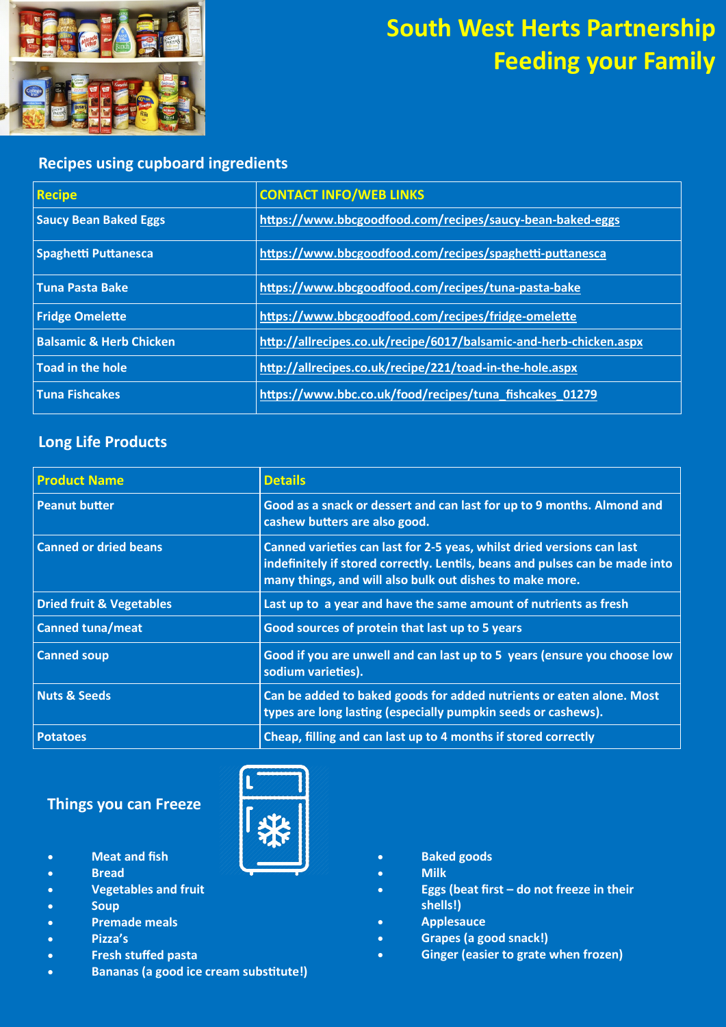

### **Recipes using cupboard ingredients**

| <b>Recipe</b>                      | <b>CONTACT INFO/WEB LINKS</b>                                      |
|------------------------------------|--------------------------------------------------------------------|
| <b>Saucy Bean Baked Eggs</b>       | https://www.bbcgoodfood.com/recipes/saucy-bean-baked-eggs          |
| <b>Spaghetti Puttanesca</b>        | https://www.bbcgoodfood.com/recipes/spaghetti-puttanesca           |
| <b>Tuna Pasta Bake</b>             | https://www.bbcgoodfood.com/recipes/tuna-pasta-bake                |
| <b>Fridge Omelette</b>             | https://www.bbcgoodfood.com/recipes/fridge-omelette                |
| <b>Balsamic &amp; Herb Chicken</b> | http://allrecipes.co.uk/recipe/6017/balsamic-and-herb-chicken.aspx |
| <b>Toad in the hole</b>            | http://allrecipes.co.uk/recipe/221/toad-in-the-hole.aspx           |
| <b>Tuna Fishcakes</b>              | https://www.bbc.co.uk/food/recipes/tuna_fishcakes_01279            |

### **Long Life Products**

| <b>Product Name</b>                 | <b>Details</b>                                                                                                                                                                                                     |
|-------------------------------------|--------------------------------------------------------------------------------------------------------------------------------------------------------------------------------------------------------------------|
| <b>Peanut butter</b>                | Good as a snack or dessert and can last for up to 9 months. Almond and<br>cashew butters are also good.                                                                                                            |
| <b>Canned or dried beans</b>        | Canned varieties can last for 2-5 yeas, whilst dried versions can last<br>indefinitely if stored correctly. Lentils, beans and pulses can be made into<br>many things, and will also bulk out dishes to make more. |
| <b>Dried fruit &amp; Vegetables</b> | Last up to a year and have the same amount of nutrients as fresh                                                                                                                                                   |
| <b>Canned tuna/meat</b>             | Good sources of protein that last up to 5 years                                                                                                                                                                    |
| <b>Canned soup</b>                  | Good if you are unwell and can last up to 5 years (ensure you choose low<br>sodium varieties).                                                                                                                     |
| <b>Nuts &amp; Seeds</b>             | Can be added to baked goods for added nutrients or eaten alone. Most<br>types are long lasting (especially pumpkin seeds or cashews).                                                                              |
| <b>Potatoes</b>                     | Cheap, filling and can last up to 4 months if stored correctly                                                                                                                                                     |

### **Things you can Freeze**

- **Meat and fish**
- **Bread**
- **Vegetables and fruit**
- **Soup**
- **Premade meals**
- **Pizza's**
- **Fresh stuffed pasta**
- **Bananas (a good ice cream substitute!)**
- 
- **Baked goods**
- **Milk**
- **Eggs (beat first – do not freeze in their shells!)**
- **Applesauce**
- **Grapes (a good snack!)**
- **Ginger (easier to grate when frozen)**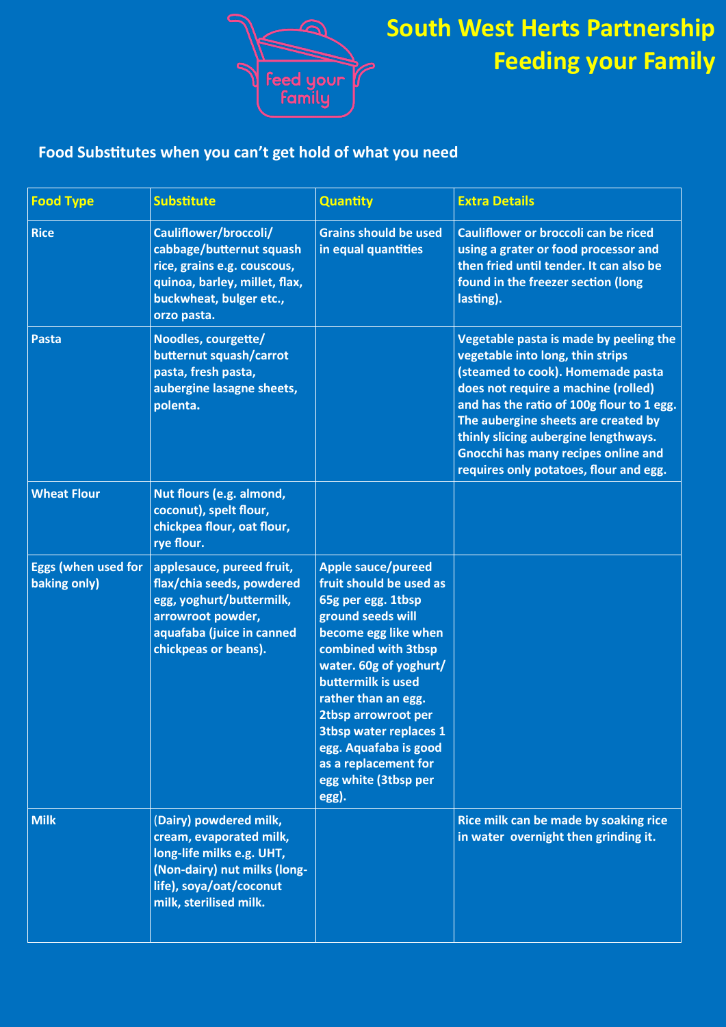

## **Food Substitutes when you can't get hold of what you need**

| <b>Food Type</b>                           | <b>Substitute</b>                                                                                                                                                   | Quantity                                                                                                                                                                                                                                                                                                                                                        | <b>Extra Details</b>                                                                                                                                                                                                                                                                                                                                                       |
|--------------------------------------------|---------------------------------------------------------------------------------------------------------------------------------------------------------------------|-----------------------------------------------------------------------------------------------------------------------------------------------------------------------------------------------------------------------------------------------------------------------------------------------------------------------------------------------------------------|----------------------------------------------------------------------------------------------------------------------------------------------------------------------------------------------------------------------------------------------------------------------------------------------------------------------------------------------------------------------------|
| <b>Rice</b>                                | Cauliflower/broccoli/<br>cabbage/butternut squash<br>rice, grains e.g. couscous,<br>quinoa, barley, millet, flax,<br>buckwheat, bulger etc.,<br>orzo pasta.         | <b>Grains should be used</b><br>in equal quantities                                                                                                                                                                                                                                                                                                             | Cauliflower or broccoli can be riced<br>using a grater or food processor and<br>then fried until tender. It can also be<br>found in the freezer section (long<br>lasting).                                                                                                                                                                                                 |
| <b>Pasta</b>                               | Noodles, courgette/<br>butternut squash/carrot<br>pasta, fresh pasta,<br>aubergine lasagne sheets,<br>polenta.                                                      |                                                                                                                                                                                                                                                                                                                                                                 | Vegetable pasta is made by peeling the<br>vegetable into long, thin strips<br>(steamed to cook). Homemade pasta<br>does not require a machine (rolled)<br>and has the ratio of 100g flour to 1 egg.<br>The aubergine sheets are created by<br>thinly slicing aubergine lengthways.<br><b>Gnocchi has many recipes online and</b><br>requires only potatoes, flour and egg. |
| <b>Wheat Flour</b>                         | Nut flours (e.g. almond,<br>coconut), spelt flour,<br>chickpea flour, oat flour,<br>rye flour.                                                                      |                                                                                                                                                                                                                                                                                                                                                                 |                                                                                                                                                                                                                                                                                                                                                                            |
| <b>Eggs (when used for</b><br>baking only) | applesauce, pureed fruit,<br>flax/chia seeds, powdered<br>egg, yoghurt/buttermilk,<br>arrowroot powder,<br>aquafaba (juice in canned<br>chickpeas or beans).        | <b>Apple sauce/pureed</b><br>fruit should be used as<br>65g per egg. 1tbsp<br>ground seeds will<br>become egg like when<br>combined with 3tbsp<br>water. 60g of yoghurt/<br>buttermilk is used<br>rather than an egg.<br>2tbsp arrowroot per<br><b>3tbsp water replaces 1</b><br>egg. Aquafaba is good<br>as a replacement for<br>egg white (3tbsp per<br>egg). |                                                                                                                                                                                                                                                                                                                                                                            |
| <b>Milk</b>                                | (Dairy) powdered milk,<br>cream, evaporated milk,<br>long-life milks e.g. UHT,<br>(Non-dairy) nut milks (long-<br>life), soya/oat/coconut<br>milk, sterilised milk. |                                                                                                                                                                                                                                                                                                                                                                 | Rice milk can be made by soaking rice<br>in water overnight then grinding it.                                                                                                                                                                                                                                                                                              |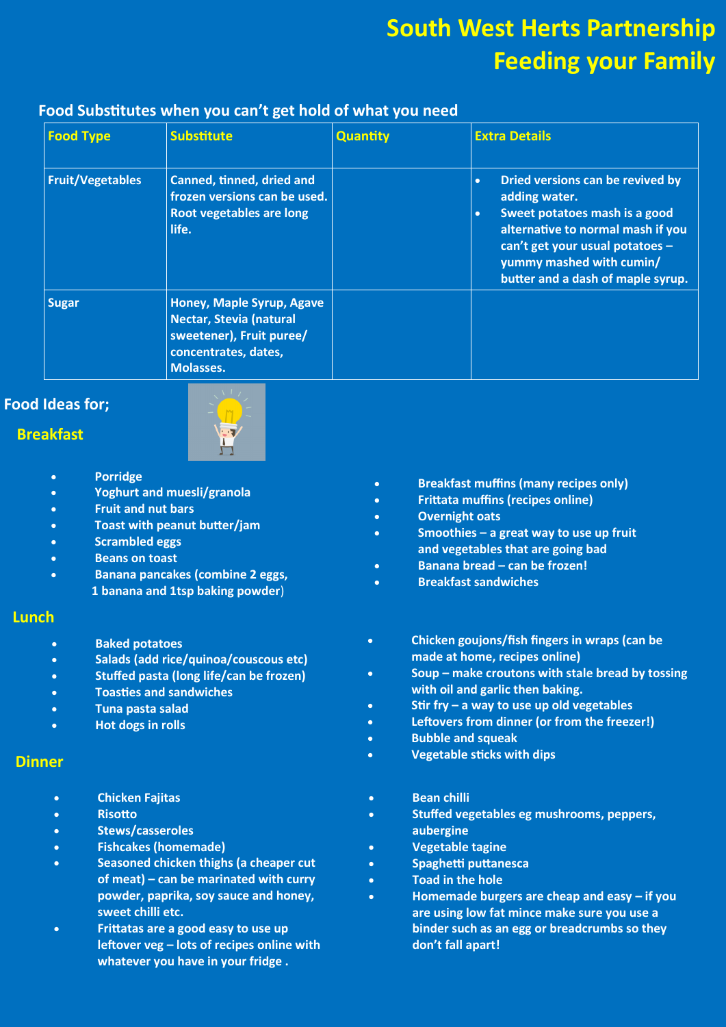### **Food Substitutes when you can't get hold of what you need**

| <b>Food Type</b>        | <b>Substitute</b>                                                                                                     | Quantity | <b>Extra Details</b>                                                                                                                                                                                                                                  |
|-------------------------|-----------------------------------------------------------------------------------------------------------------------|----------|-------------------------------------------------------------------------------------------------------------------------------------------------------------------------------------------------------------------------------------------------------|
| <b>Fruit/Vegetables</b> | Canned, tinned, dried and<br>frozen versions can be used.<br><b>Root vegetables are long</b><br>life.                 |          | Dried versions can be revived by<br>$\bullet$<br>adding water.<br>Sweet potatoes mash is a good<br>$\bullet$<br>alternative to normal mash if you<br>can't get your usual potatoes -<br>yummy mashed with cumin/<br>butter and a dash of maple syrup. |
| <b>Sugar</b>            | Honey, Maple Syrup, Agave<br>Nectar, Stevia (natural<br>sweetener), Fruit puree/<br>concentrates, dates,<br>Molasses. |          |                                                                                                                                                                                                                                                       |

### **Food Ideas for;**

#### **Breakfast**



- **Porridge**
- **Yoghurt and muesli/granola**
- **Fruit and nut bars**
- **Toast with peanut butter/jam**
- **Scrambled eggs**
- **Beans on toast**
- **Banana pancakes (combine 2 eggs, 1 banana and 1tsp baking powder**)

#### **Lunch**

- **Baked potatoes**
- **Salads (add rice/quinoa/couscous etc)**
- **Stuffed pasta (long life/can be frozen)**
- **Toasties and sandwiches**
- **Tuna pasta salad**
- **Hot dogs in rolls**

#### **Dinner**

- **Chicken Fajitas**
- **Risotto**
- **Stews/casseroles**
- **Fishcakes (homemade)**
- **Seasoned chicken thighs (a cheaper cut of meat) – can be marinated with curry powder, paprika, soy sauce and honey, sweet chilli etc.**
- **Frittatas are a good easy to use up leftover veg – lots of recipes online with whatever you have in your fridge .**
- **Breakfast muffins (many recipes only)**
- **Frittata muffins (recipes online)**
- **Overnight oats**
- **Smoothies – a great way to use up fruit and vegetables that are going bad**
- **Banana bread – can be frozen!**
- **Breakfast sandwiches**
- **Chicken goujons/fish fingers in wraps (can be made at home, recipes online)**
- **Soup – make croutons with stale bread by tossing with oil and garlic then baking.**
- **Stir fry – a way to use up old vegetables**
- **Leftovers from dinner (or from the freezer!)**
- **Bubble and squeak**
- **Vegetable sticks with dips**
- **Bean chilli**
- **Stuffed vegetables eg mushrooms, peppers, aubergine**
- **Vegetable tagine**
- **Spaghetti puttanesca**
- **Toad in the hole**
- **Homemade burgers are cheap and easy – if you are using low fat mince make sure you use a binder such as an egg or breadcrumbs so they don't fall apart!**